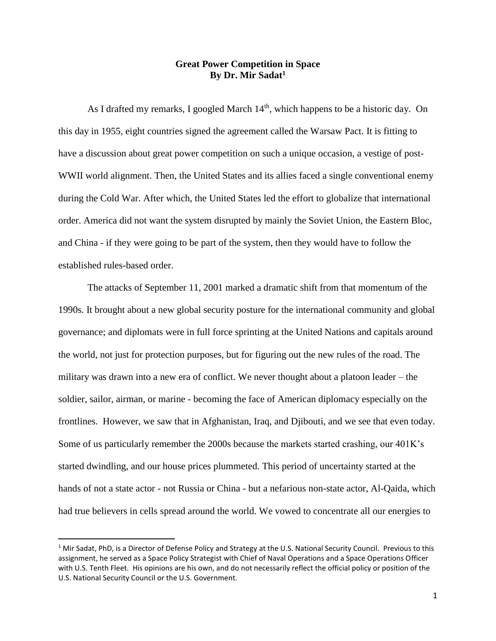## **Great Power Competition in Space By Dr. Mir Sadat<sup>1</sup>**

As I drafted my remarks, I googled March 14<sup>th</sup>, which happens to be a historic day. On this day in 1955, eight countries signed the agreement called the Warsaw Pact. It is fitting to have a discussion about great power competition on such a unique occasion, a vestige of post-WWII world alignment. Then, the United States and its allies faced a single conventional enemy during the Cold War. After which, the United States led the effort to globalize that international order. America did not want the system disrupted by mainly the Soviet Union, the Eastern Bloc, and China - if they were going to be part of the system, then they would have to follow the established rules-based order.

The attacks of September 11, 2001 marked a dramatic shift from that momentum of the 1990s. It brought about a new global security posture for the international community and global governance; and diplomats were in full force sprinting at the United Nations and capitals around the world, not just for protection purposes, but for figuring out the new rules of the road. The military was drawn into a new era of conflict. We never thought about a platoon leader – the soldier, sailor, airman, or marine - becoming the face of American diplomacy especially on the frontlines. However, we saw that in Afghanistan, Iraq, and Djibouti, and we see that even today. Some of us particularly remember the 2000s because the markets started crashing, our 401K's started dwindling, and our house prices plummeted. This period of uncertainty started at the hands of not a state actor - not Russia or China - but a nefarious non-state actor, Al-Qaida, which had true believers in cells spread around the world. We vowed to concentrate all our energies to

l

 $1$  Mir Sadat, PhD, is a Director of Defense Policy and Strategy at the U.S. National Security Council. Previous to this assignment, he served as a Space Policy Strategist with Chief of Naval Operations and a Space Operations Officer with U.S. Tenth Fleet. His opinions are his own, and do not necessarily reflect the official policy or position of the U.S. National Security Council or the U.S. Government.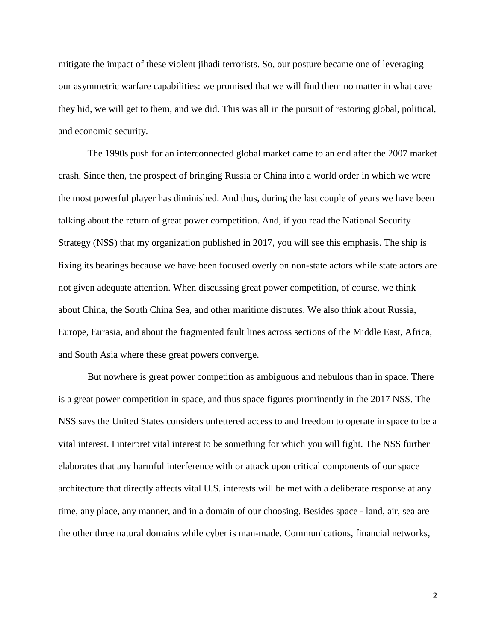mitigate the impact of these violent jihadi terrorists. So, our posture became one of leveraging our asymmetric warfare capabilities: we promised that we will find them no matter in what cave they hid, we will get to them, and we did. This was all in the pursuit of restoring global, political, and economic security.

The 1990s push for an interconnected global market came to an end after the 2007 market crash. Since then, the prospect of bringing Russia or China into a world order in which we were the most powerful player has diminished. And thus, during the last couple of years we have been talking about the return of great power competition. And, if you read the National Security Strategy (NSS) that my organization published in 2017, you will see this emphasis. The ship is fixing its bearings because we have been focused overly on non-state actors while state actors are not given adequate attention. When discussing great power competition, of course, we think about China, the South China Sea, and other maritime disputes. We also think about Russia, Europe, Eurasia, and about the fragmented fault lines across sections of the Middle East, Africa, and South Asia where these great powers converge.

But nowhere is great power competition as ambiguous and nebulous than in space. There is a great power competition in space, and thus space figures prominently in the 2017 NSS. The NSS says the United States considers unfettered access to and freedom to operate in space to be a vital interest. I interpret vital interest to be something for which you will fight. The NSS further elaborates that any harmful interference with or attack upon critical components of our space architecture that directly affects vital U.S. interests will be met with a deliberate response at any time, any place, any manner, and in a domain of our choosing. Besides space - land, air, sea are the other three natural domains while cyber is man-made. Communications, financial networks,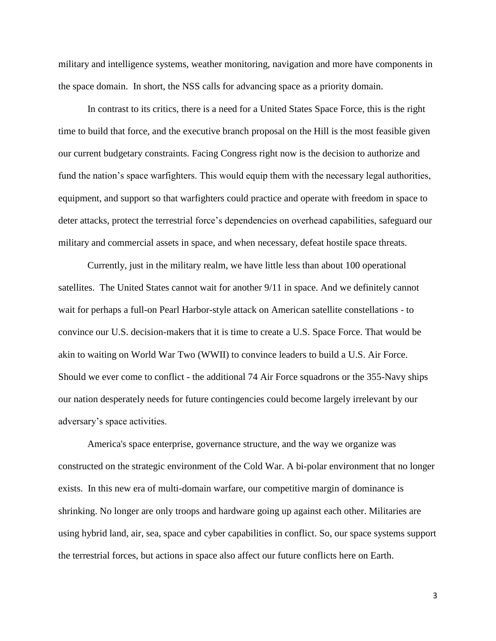military and intelligence systems, weather monitoring, navigation and more have components in the space domain. In short, the NSS calls for advancing space as a priority domain.

In contrast to its critics, there is a need for a United States Space Force, this is the right time to build that force, and the executive branch proposal on the Hill is the most feasible given our current budgetary constraints. Facing Congress right now is the decision to authorize and fund the nation's space warfighters. This would equip them with the necessary legal authorities, equipment, and support so that warfighters could practice and operate with freedom in space to deter attacks, protect the terrestrial force's dependencies on overhead capabilities, safeguard our military and commercial assets in space, and when necessary, defeat hostile space threats.

Currently, just in the military realm, we have little less than about 100 operational satellites. The United States cannot wait for another 9/11 in space. And we definitely cannot wait for perhaps a full-on Pearl Harbor-style attack on American satellite constellations - to convince our U.S. decision-makers that it is time to create a U.S. Space Force. That would be akin to waiting on World War Two (WWII) to convince leaders to build a U.S. Air Force. Should we ever come to conflict - the additional 74 Air Force squadrons or the 355-Navy ships our nation desperately needs for future contingencies could become largely irrelevant by our adversary's space activities.

America's space enterprise, governance structure, and the way we organize was constructed on the strategic environment of the Cold War. A bi-polar environment that no longer exists. In this new era of multi-domain warfare, our competitive margin of dominance is shrinking. No longer are only troops and hardware going up against each other. Militaries are using hybrid land, air, sea, space and cyber capabilities in conflict. So, our space systems support the terrestrial forces, but actions in space also affect our future conflicts here on Earth.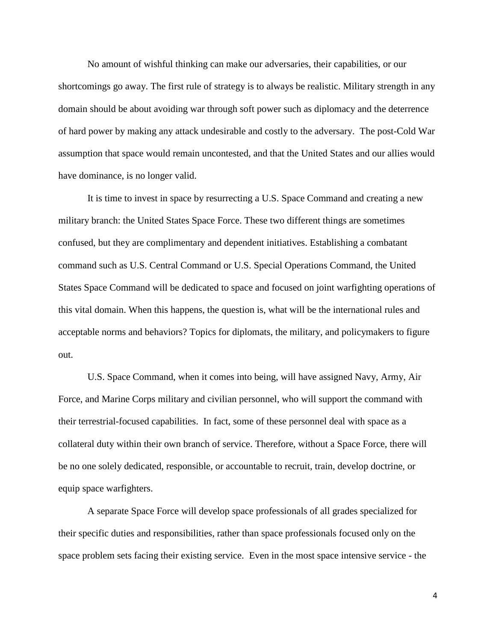No amount of wishful thinking can make our adversaries, their capabilities, or our shortcomings go away. The first rule of strategy is to always be realistic. Military strength in any domain should be about avoiding war through soft power such as diplomacy and the deterrence of hard power by making any attack undesirable and costly to the adversary. The post-Cold War assumption that space would remain uncontested, and that the United States and our allies would have dominance, is no longer valid.

It is time to invest in space by resurrecting a U.S. Space Command and creating a new military branch: the United States Space Force. These two different things are sometimes confused, but they are complimentary and dependent initiatives. Establishing a combatant command such as U.S. Central Command or U.S. Special Operations Command, the United States Space Command will be dedicated to space and focused on joint warfighting operations of this vital domain. When this happens, the question is, what will be the international rules and acceptable norms and behaviors? Topics for diplomats, the military, and policymakers to figure out.

U.S. Space Command, when it comes into being, will have assigned Navy, Army, Air Force, and Marine Corps military and civilian personnel, who will support the command with their terrestrial-focused capabilities. In fact, some of these personnel deal with space as a collateral duty within their own branch of service. Therefore, without a Space Force, there will be no one solely dedicated, responsible, or accountable to recruit, train, develop doctrine, or equip space warfighters.

A separate Space Force will develop space professionals of all grades specialized for their specific duties and responsibilities, rather than space professionals focused only on the space problem sets facing their existing service. Even in the most space intensive service - the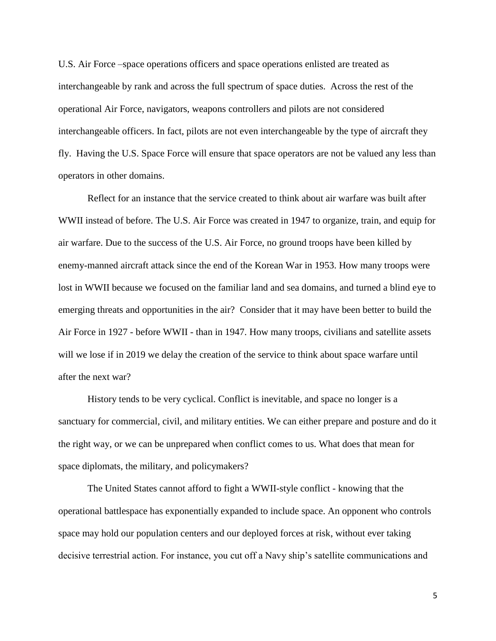U.S. Air Force –space operations officers and space operations enlisted are treated as interchangeable by rank and across the full spectrum of space duties. Across the rest of the operational Air Force, navigators, weapons controllers and pilots are not considered interchangeable officers. In fact, pilots are not even interchangeable by the type of aircraft they fly. Having the U.S. Space Force will ensure that space operators are not be valued any less than operators in other domains.

Reflect for an instance that the service created to think about air warfare was built after WWII instead of before. The U.S. Air Force was created in 1947 to organize, train, and equip for air warfare. Due to the success of the U.S. Air Force, no ground troops have been killed by enemy-manned aircraft attack since the end of the Korean War in 1953. How many troops were lost in WWII because we focused on the familiar land and sea domains, and turned a blind eye to emerging threats and opportunities in the air? Consider that it may have been better to build the Air Force in 1927 - before WWII - than in 1947. How many troops, civilians and satellite assets will we lose if in 2019 we delay the creation of the service to think about space warfare until after the next war?

History tends to be very cyclical. Conflict is inevitable, and space no longer is a sanctuary for commercial, civil, and military entities. We can either prepare and posture and do it the right way, or we can be unprepared when conflict comes to us. What does that mean for space diplomats, the military, and policymakers?

The United States cannot afford to fight a WWII-style conflict - knowing that the operational battlespace has exponentially expanded to include space. An opponent who controls space may hold our population centers and our deployed forces at risk, without ever taking decisive terrestrial action. For instance, you cut off a Navy ship's satellite communications and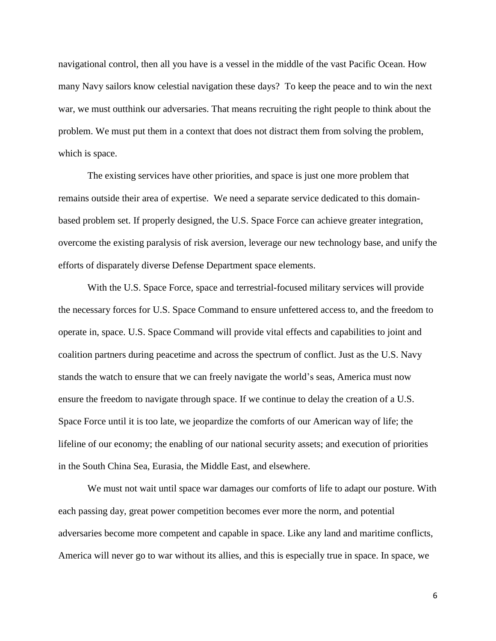navigational control, then all you have is a vessel in the middle of the vast Pacific Ocean. How many Navy sailors know celestial navigation these days? To keep the peace and to win the next war, we must outthink our adversaries. That means recruiting the right people to think about the problem. We must put them in a context that does not distract them from solving the problem, which is space.

The existing services have other priorities, and space is just one more problem that remains outside their area of expertise. We need a separate service dedicated to this domainbased problem set. If properly designed, the U.S. Space Force can achieve greater integration, overcome the existing paralysis of risk aversion, leverage our new technology base, and unify the efforts of disparately diverse Defense Department space elements.

With the U.S. Space Force, space and terrestrial-focused military services will provide the necessary forces for U.S. Space Command to ensure unfettered access to, and the freedom to operate in, space. U.S. Space Command will provide vital effects and capabilities to joint and coalition partners during peacetime and across the spectrum of conflict. Just as the U.S. Navy stands the watch to ensure that we can freely navigate the world's seas, America must now ensure the freedom to navigate through space. If we continue to delay the creation of a U.S. Space Force until it is too late, we jeopardize the comforts of our American way of life; the lifeline of our economy; the enabling of our national security assets; and execution of priorities in the South China Sea, Eurasia, the Middle East, and elsewhere.

We must not wait until space war damages our comforts of life to adapt our posture. With each passing day, great power competition becomes ever more the norm, and potential adversaries become more competent and capable in space. Like any land and maritime conflicts, America will never go to war without its allies, and this is especially true in space. In space, we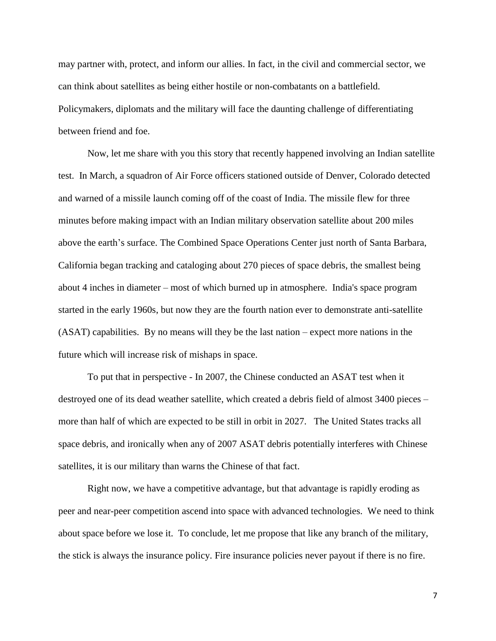may partner with, protect, and inform our allies. In fact, in the civil and commercial sector, we can think about satellites as being either hostile or non-combatants on a battlefield. Policymakers, diplomats and the military will face the daunting challenge of differentiating between friend and foe.

Now, let me share with you this story that recently happened involving an Indian satellite test. In March, a squadron of Air Force officers stationed outside of Denver, Colorado detected and warned of a missile launch coming off of the coast of India. The missile flew for three minutes before making impact with an Indian military observation satellite about 200 miles above the earth's surface. The Combined Space Operations Center just north of Santa Barbara, California began tracking and cataloging about 270 pieces of space debris, the smallest being about 4 inches in diameter – most of which burned up in atmosphere. India's space program started in the early 1960s, but now they are the fourth nation ever to demonstrate anti-satellite (ASAT) capabilities. By no means will they be the last nation – expect more nations in the future which will increase risk of mishaps in space.

To put that in perspective - In 2007, the Chinese conducted an ASAT test when it destroyed one of its dead weather satellite, which created a debris field of almost 3400 pieces – more than half of which are expected to be still in orbit in 2027. The United States tracks all space debris, and ironically when any of 2007 ASAT debris potentially interferes with Chinese satellites, it is our military than warns the Chinese of that fact.

Right now, we have a competitive advantage, but that advantage is rapidly eroding as peer and near-peer competition ascend into space with advanced technologies. We need to think about space before we lose it. To conclude, let me propose that like any branch of the military, the stick is always the insurance policy. Fire insurance policies never payout if there is no fire.